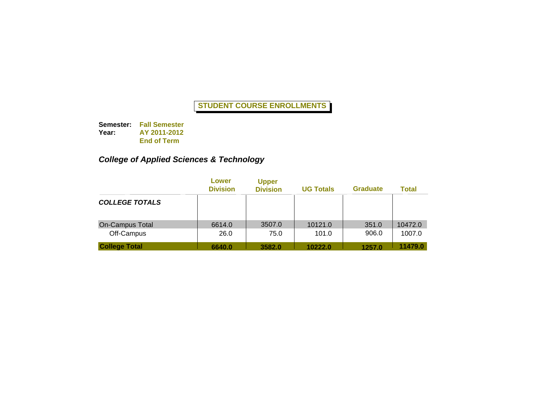**Semester: Fall Semester Year: AY 2011-2012 End of Term**

# *College of Applied Sciences & Technology*

|                                      | Lower<br><b>Division</b> | <b>Upper</b><br><b>Division</b> | <b>UG Totals</b> | <b>Graduate</b> | <b>Total</b>      |
|--------------------------------------|--------------------------|---------------------------------|------------------|-----------------|-------------------|
| <b>COLLEGE TOTALS</b>                |                          |                                 |                  |                 |                   |
| <b>On-Campus Total</b><br>Off-Campus | 6614.0<br>26.0           | 3507.0<br>75.0                  | 10121.0<br>101.0 | 351.0<br>906.0  | 10472.0<br>1007.0 |
| <b>College Total</b>                 | 6640.0                   | 3582.0                          | 10222.0          | 1257.0          | 11479.0           |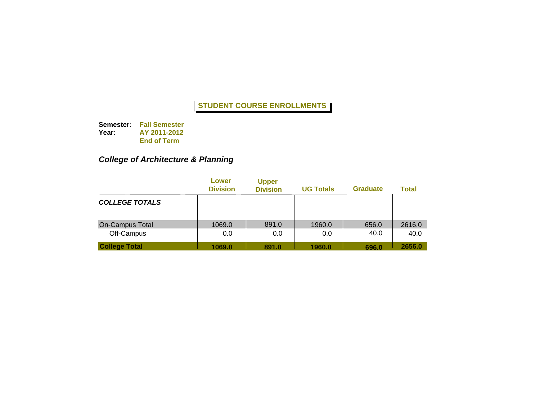**Semester: Fall Semester Year: AY 2011-2012 End of Term**

# *College of Architecture & Planning*

|                                      | Lower<br><b>Division</b> | <b>Upper</b><br><b>Division</b> | <b>UG Totals</b> | <b>Graduate</b> | <b>Total</b>   |
|--------------------------------------|--------------------------|---------------------------------|------------------|-----------------|----------------|
| <b>COLLEGE TOTALS</b>                |                          |                                 |                  |                 |                |
| <b>On-Campus Total</b><br>Off-Campus | 1069.0<br>0.0            | 891.0<br>0.0                    | 1960.0<br>0.0    | 656.0<br>40.0   | 2616.0<br>40.0 |
| <b>College Total</b>                 | 1069.0                   | 891.0                           | 1960.0           | 696.0           | 2656.0         |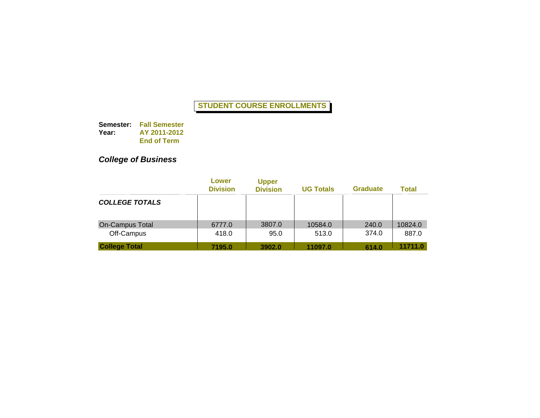**Semester: Fall Semester Year: AY 2011-2012 End of Term**

# *College of Business*

|                                      | Lower<br><b>Division</b> | <b>Upper</b><br><b>Division</b> | <b>UG Totals</b> | <b>Graduate</b> | Total            |
|--------------------------------------|--------------------------|---------------------------------|------------------|-----------------|------------------|
| <b>COLLEGE TOTALS</b>                |                          |                                 |                  |                 |                  |
| <b>On-Campus Total</b><br>Off-Campus | 6777.0<br>418.0          | 3807.0<br>95.0                  | 10584.0<br>513.0 | 240.0<br>374.0  | 10824.0<br>887.0 |
| <b>College Total</b>                 | 7195.0                   | 3902.0                          | 11097.0          | 614.0           | 11711.0          |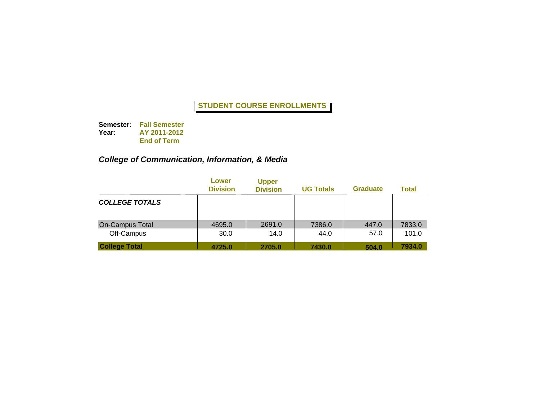**Semester: Fall Semester Year: AY 2011-2012 End of Term**

### *College of Communication, Information, & Media*

|                                      | Lower<br><b>Division</b> | <b>Upper</b><br><b>Division</b> | <b>UG Totals</b> | <b>Graduate</b> | <b>Total</b>    |
|--------------------------------------|--------------------------|---------------------------------|------------------|-----------------|-----------------|
| <b>COLLEGE TOTALS</b>                |                          |                                 |                  |                 |                 |
| <b>On-Campus Total</b><br>Off-Campus | 4695.0<br>30.0           | 2691.0<br>14.0                  | 7386.0<br>44.0   | 447.0<br>57.0   | 7833.0<br>101.0 |
| <b>College Total</b>                 | 4725.0                   | 2705.0                          | 7430.0           | 504.0           | 7934.0          |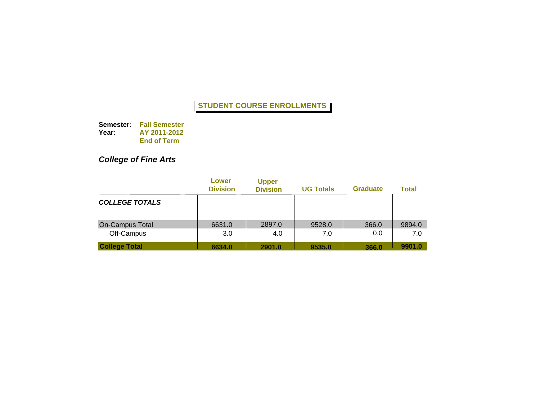**Semester: Fall Semester Year: AY 2011-2012 End of Term**

# *College of Fine Arts*

|                                    | Lower<br><b>Division</b> | <b>Upper</b><br><b>Division</b> | <b>UG Totals</b> | <b>Graduate</b> | Total         |
|------------------------------------|--------------------------|---------------------------------|------------------|-----------------|---------------|
| <b>COLLEGE TOTALS</b>              |                          |                                 |                  |                 |               |
| <b>On-Campus Total</b>             | 6631.0                   | 2897.0<br>4.0                   | 9528.0           | 366.0<br>0.0    | 9894.0<br>7.0 |
| Off-Campus<br><b>College Total</b> | 3.0<br>6634.0            | 2901.0                          | 7.0<br>9535.0    | 366.0           | 9901.0        |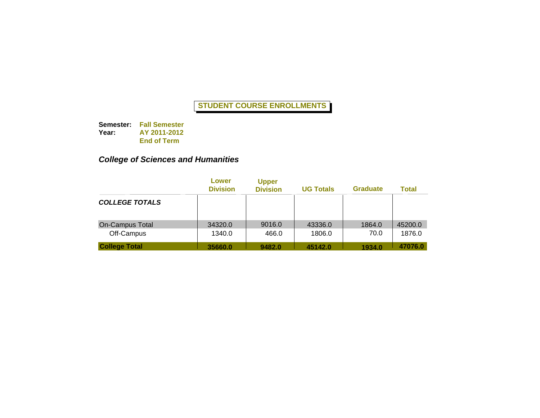**Semester: Fall Semester Year: AY 2011-2012 End of Term**

### *College of Sciences and Humanities*

|                                      | Lower<br><b>Division</b> | <b>Upper</b><br><b>Division</b> | <b>UG Totals</b>  | <b>Graduate</b> | <b>Total</b>      |
|--------------------------------------|--------------------------|---------------------------------|-------------------|-----------------|-------------------|
| <b>COLLEGE TOTALS</b>                |                          |                                 |                   |                 |                   |
| <b>On-Campus Total</b><br>Off-Campus | 34320.0<br>1340.0        | 9016.0<br>466.0                 | 43336.0<br>1806.0 | 1864.0<br>70.0  | 45200.0<br>1876.0 |
| <b>College Total</b>                 | 35660.0                  | 9482.0                          | 45142.0           | 1934.0          | 47076.0           |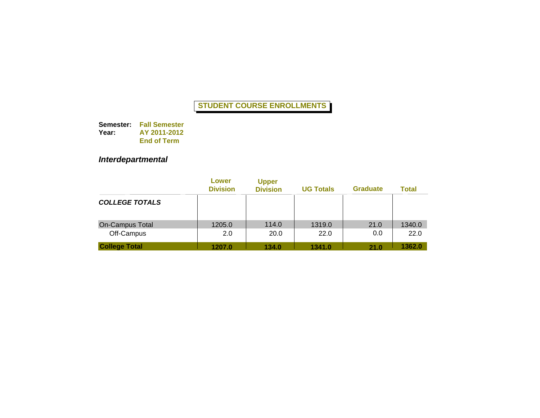**Semester: Fall Semester Year: AY 2011-2012 End of Term**

# *Interdepartmental*

|                        | Lower<br><b>Division</b> | <b>Upper</b><br><b>Division</b> | <b>UG Totals</b> | <b>Graduate</b> | <b>Total</b> |
|------------------------|--------------------------|---------------------------------|------------------|-----------------|--------------|
| <b>COLLEGE TOTALS</b>  |                          |                                 |                  |                 |              |
| <b>On-Campus Total</b> | 1205.0                   | 114.0                           | 1319.0           | 21.0            | 1340.0       |
| Off-Campus             | 2.0                      | 20.0                            | 22.0             | 0.0             | 22.0         |
| <b>College Total</b>   | 1207.0                   | 134.0                           | 1341.0           | 21.0            | 1362.0       |